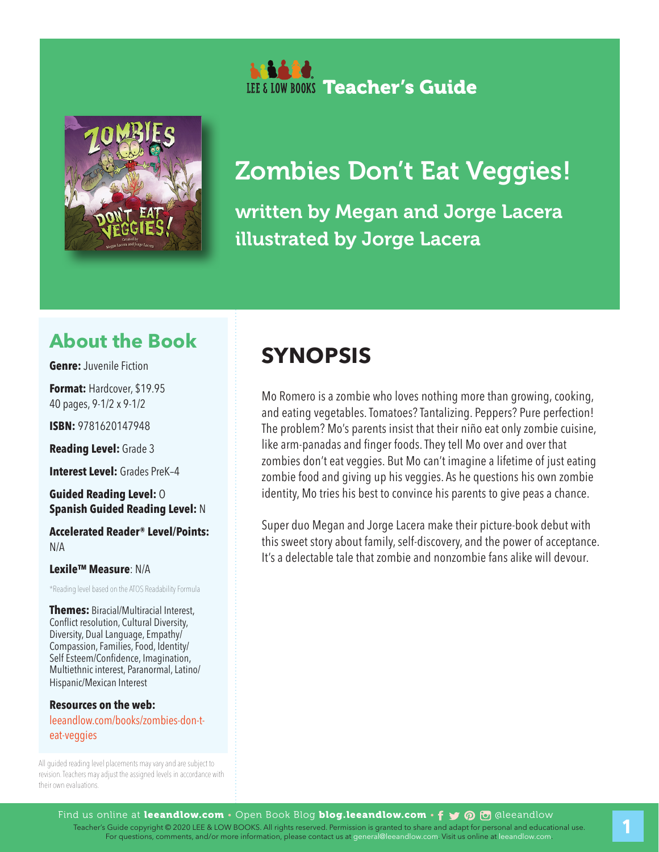



# Zombies Don't Eat Veggies!

written by Megan and Jorge Lacera illustrated by Jorge Lacera

## **About the Book**

**Genre:** Juvenile Fiction

**Format:** Hardcover, \$19.95 40 pages, 9-1/2 x 9-1/2

**ISBN:** 9781620147948

**Reading Level:** Grade 3

**Interest Level:** Grades PreK–4

**Guided Reading Level:** O **Spanish Guided Reading Level:** N

**Accelerated Reader® Level/Points:**  N/A

**Lexile™ Measure**: N/A

\*Reading level based on the ATOS Readability Formula

**Themes:** Biracial/Multiracial Interest, Conflict resolution, Cultural Diversity, Diversity, Dual Language, Empathy/ Compassion, Families, Food, Identity/ Self Esteem/Confidence, Imagination, Multiethnic interest, Paranormal, Latino/ Hispanic/Mexican Interest

**Resources on the web:**  leeandlow.com/books/zombies-don-teat-veggies

All guided reading level placements may vary and are subject to revision. Teachers may adjust the assigned levels in accordance with their own evaluations.

## **SYNOPSIS**

Mo Romero is a zombie who loves nothing more than growing, cooking, and eating vegetables. Tomatoes? Tantalizing. Peppers? Pure perfection! The problem? Mo's parents insist that their niño eat only zombie cuisine, like arm-panadas and finger foods. They tell Mo over and over that zombies don't eat veggies. But Mo can't imagine a lifetime of just eating zombie food and giving up his veggies. As he questions his own zombie identity, Mo tries his best to convince his parents to give peas a chance.

Super duo Megan and Jorge Lacera make their picture-book debut with this sweet story about family, self-discovery, and the power of acceptance. It's a delectable tale that zombie and nonzombie fans alike will devour.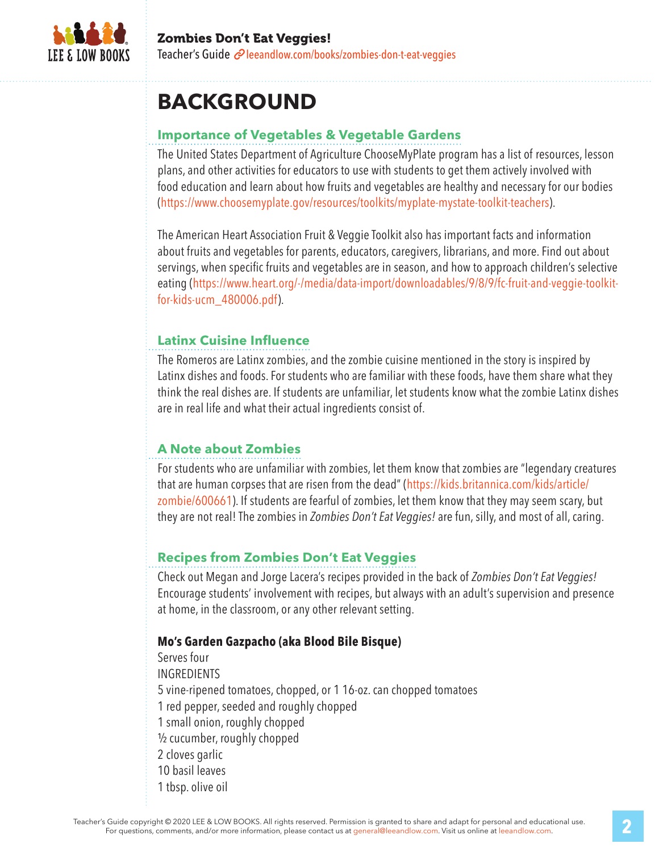

# **BACKGROUND**

## **Importance of Vegetables & Vegetable Gardens**

The United States Department of Agriculture ChooseMyPlate program has a list of resources, lesson plans, and other activities for educators to use with students to get them actively involved with food education and learn about how fruits and vegetables are healthy and necessary for our bodies (https://www.choosemyplate.gov/resources/toolkits/myplate-mystate-toolkit-teachers).

The American Heart Association Fruit & Veggie Toolkit also has important facts and information about fruits and vegetables for parents, educators, caregivers, librarians, and more. Find out about servings, when specific fruits and vegetables are in season, and how to approach children's selective eating (https://www.heart.org/-/media/data-import/downloadables/9/8/9/fc-fruit-and-veggie-toolkitfor-kids-ucm\_480006.pdf).

### **Latinx Cuisine Influence**

The Romeros are Latinx zombies, and the zombie cuisine mentioned in the story is inspired by Latinx dishes and foods. For students who are familiar with these foods, have them share what they think the real dishes are. If students are unfamiliar, let students know what the zombie Latinx dishes are in real life and what their actual ingredients consist of.

### **A Note about Zombies**

For students who are unfamiliar with zombies, let them know that zombies are "legendary creatures that are human corpses that are risen from the dead" (https://kids.britannica.com/kids/article/ zombie/600661). If students are fearful of zombies, let them know that they may seem scary, but they are not real! The zombies in *Zombies Don't Eat Veggies!* are fun, silly, and most of all, caring.

### **Recipes from Zombies Don't Eat Veggies**

Check out Megan and Jorge Lacera's recipes provided in the back of *Zombies Don't Eat Veggies!* Encourage students' involvement with recipes, but always with an adult's supervision and presence at home, in the classroom, or any other relevant setting.

### **Mo's Garden Gazpacho (aka Blood Bile Bisque)**

Serves four INGREDIENTS 5 vine-ripened tomatoes, chopped, or 1 16-oz. can chopped tomatoes 1 red pepper, seeded and roughly chopped 1 small onion, roughly chopped ½ cucumber, roughly chopped 2 cloves garlic 10 basil leaves 1 tbsp. olive oil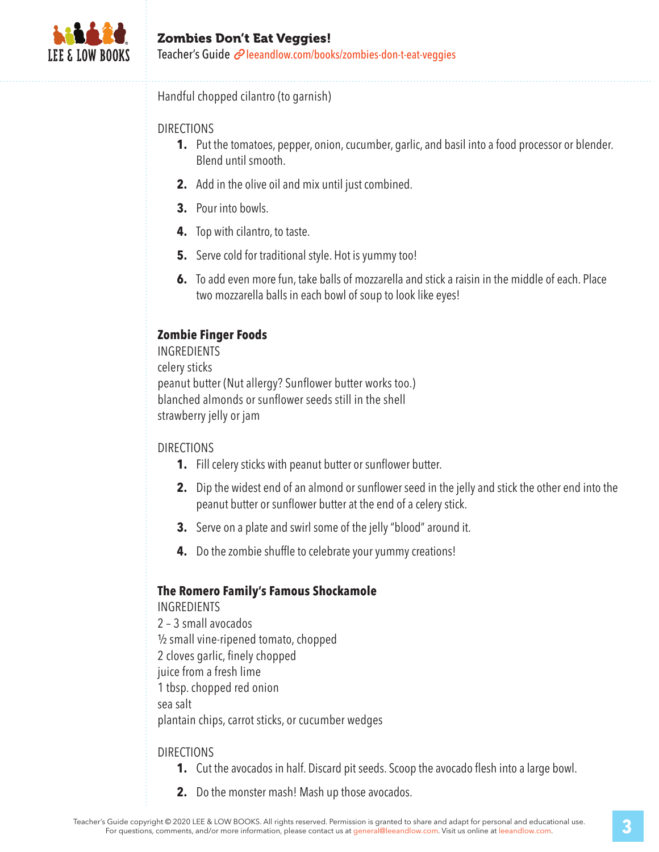

### Zombies Don't Eat Veggies! Teacher's Guide <sup>2</sup> leeandlow.com/books/zombies-don-t-eat-veggies

Handful chopped cilantro (to garnish)

#### DIRECTIONS

- **1.** Put the tomatoes, pepper, onion, cucumber, garlic, and basil into a food processor or blender. Blend until smooth.
- **2.** Add in the olive oil and mix until just combined.
- **3.** Pour into bowls.
- **4.** Top with cilantro, to taste.
- **5.** Serve cold for traditional style. Hot is yummy too!
- **6.** To add even more fun, take balls of mozzarella and stick a raisin in the middle of each. Place two mozzarella balls in each bowl of soup to look like eyes!

#### **Zombie Finger Foods**

INGREDIENTS celery sticks peanut butter (Nut allergy? Sunflower butter works too.) blanched almonds or sunflower seeds still in the shell strawberry jelly or jam

#### DIRECTIONS

- **1.** Fill celery sticks with peanut butter or sunflower butter.
- **2.** Dip the widest end of an almond or sunflower seed in the jelly and stick the other end into the peanut butter or sunflower butter at the end of a celery stick.
- **3.** Serve on a plate and swirl some of the jelly "blood" around it.
- **4.** Do the zombie shuffle to celebrate your yummy creations!

#### **The Romero Family's Famous Shockamole**

INGREDIENTS 2 – 3 small avocados ½ small vine-ripened tomato, chopped 2 cloves garlic, finely chopped juice from a fresh lime 1 tbsp. chopped red onion sea salt plantain chips, carrot sticks, or cucumber wedges

#### DIRECTIONS

- **1.** Cut the avocados in half. Discard pit seeds. Scoop the avocado flesh into a large bowl.
- **2.** Do the monster mash! Mash up those avocados.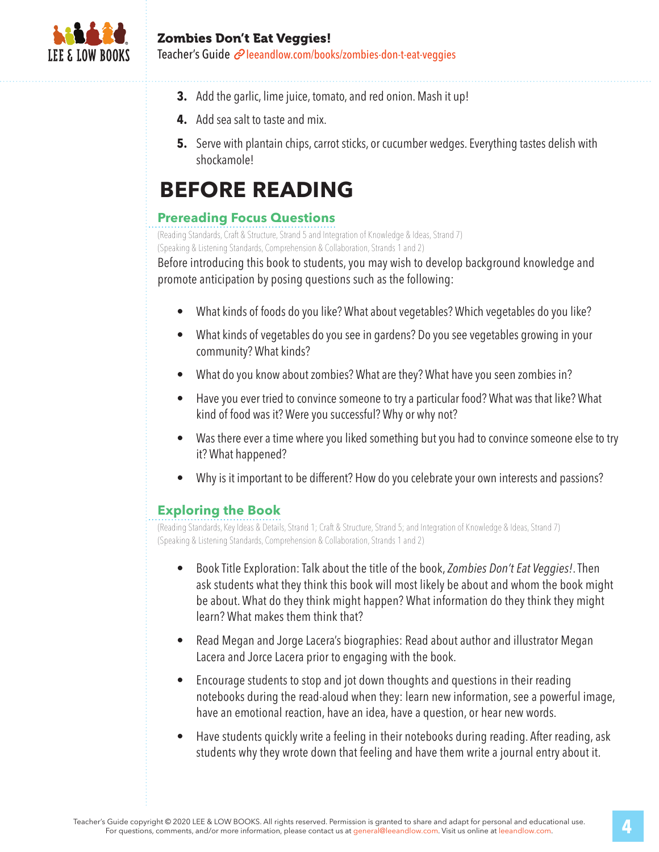

#### Zombies Don't Eat Veggies!

Teacher's Guide <sup>2</sup> leeandlow.com/books/zombies-don-t-eat-veggies

- **3.** Add the garlic, lime juice, tomato, and red onion. Mash it up!
- **4.** Add sea salt to taste and mix.
- **5.** Serve with plantain chips, carrot sticks, or cucumber wedges. Everything tastes delish with shockamole!

## **BEFORE READING**

#### **Prereading Focus Questions**

(Reading Standards, Craft & Structure, Strand 5 and Integration of Knowledge & Ideas, Strand 7) (Speaking & Listening Standards, Comprehension & Collaboration, Strands 1 and 2)

Before introducing this book to students, you may wish to develop background knowledge and promote anticipation by posing questions such as the following:

- What kinds of foods do you like? What about vegetables? Which vegetables do you like?
- What kinds of vegetables do you see in gardens? Do you see vegetables growing in your community? What kinds?
- What do you know about zombies? What are they? What have you seen zombies in?
- Have you ever tried to convince someone to try a particular food? What was that like? What kind of food was it? Were you successful? Why or why not?
- Was there ever a time where you liked something but you had to convince someone else to try it? What happened?
- Why is it important to be different? How do you celebrate your own interests and passions?

### **Exploring the Book**

(Reading Standards, Key Ideas & Details, Strand 1; Craft & Structure, Strand 5; and Integration of Knowledge & Ideas, Strand 7) (Speaking & Listening Standards, Comprehension & Collaboration, Strands 1 and 2)

- Book Title Exploration: Talk about the title of the book, *Zombies Don't Eat Veggies!*. Then ask students what they think this book will most likely be about and whom the book might be about. What do they think might happen? What information do they think they might learn? What makes them think that?
- Read Megan and Jorge Lacera's biographies: Read about author and illustrator Megan Lacera and Jorce Lacera prior to engaging with the book.
- Encourage students to stop and jot down thoughts and questions in their reading notebooks during the read-aloud when they: learn new information, see a powerful image, have an emotional reaction, have an idea, have a question, or hear new words.
- Have students quickly write a feeling in their notebooks during reading. After reading, ask students why they wrote down that feeling and have them write a journal entry about it.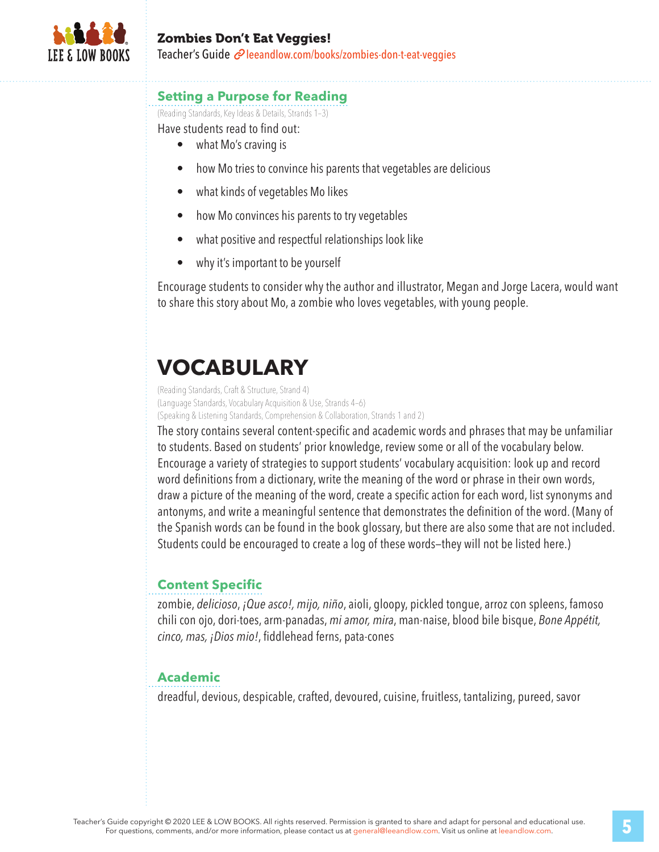

#### **Setting a Purpose for Reading**

(Reading Standards, Key Ideas & Details, Strands 1–3)

Have students read to find out:

- what Mo's craving is
- how Mo tries to convince his parents that vegetables are delicious
- what kinds of vegetables Mo likes
- how Mo convinces his parents to try vegetables
- what positive and respectful relationships look like
- why it's important to be yourself

Encourage students to consider why the author and illustrator, Megan and Jorge Lacera, would want to share this story about Mo, a zombie who loves vegetables, with young people.

# **VOCABULARY**

(Reading Standards, Craft & Structure, Strand 4) (Language Standards, Vocabulary Acquisition & Use, Strands 4–6) (Speaking & Listening Standards, Comprehension & Collaboration, Strands 1 and 2)

The story contains several content-specific and academic words and phrases that may be unfamiliar to students. Based on students' prior knowledge, review some or all of the vocabulary below. Encourage a variety of strategies to support students' vocabulary acquisition: look up and record word definitions from a dictionary, write the meaning of the word or phrase in their own words, draw a picture of the meaning of the word, create a specific action for each word, list synonyms and antonyms, and write a meaningful sentence that demonstrates the definition of the word. (Many of the Spanish words can be found in the book glossary, but there are also some that are not included. Students could be encouraged to create a log of these words—they will not be listed here.)

### **Content Specific**

zombie, *delicioso*, *¡Que asco!, mijo, niño*, aioli, gloopy, pickled tongue, arroz con spleens, famoso chili con ojo, dori-toes, arm-panadas, *mi amor, mira*, man-naise, blood bile bisque, *Bone Appétit, cinco, mas, ¡Dios mio!*, fiddlehead ferns, pata-cones

## **Academic**

dreadful, devious, despicable, crafted, devoured, cuisine, fruitless, tantalizing, pureed, savor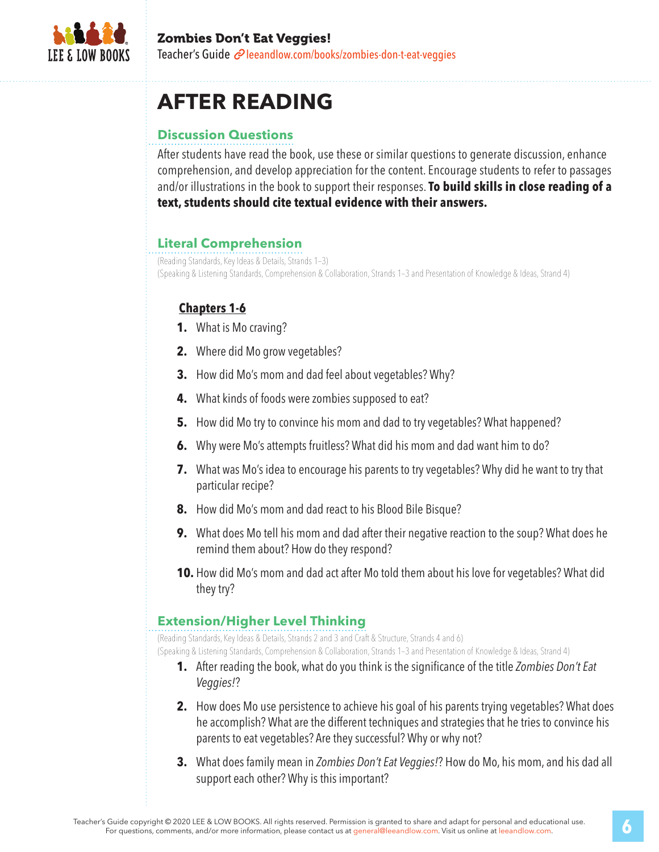

# **AFTER READING**

## **Discussion Questions**

After students have read the book, use these or similar questions to generate discussion, enhance comprehension, and develop appreciation for the content. Encourage students to refer to passages and/or illustrations in the book to support their responses. **To build skills in close reading of a text, students should cite textual evidence with their answers.**

## **Literal Comprehension**

(Reading Standards, Key Ideas & Details, Strands 1–3) (Speaking & Listening Standards, Comprehension & Collaboration, Strands 1–3 and Presentation of Knowledge & Ideas, Strand 4)

## **Chapters 1-6**

- **1.** What is Mo craving?
- **2.** Where did Mo grow vegetables?
- **3.** How did Mo's mom and dad feel about vegetables? Why?
- **4.** What kinds of foods were zombies supposed to eat?
- **5.** How did Mo try to convince his mom and dad to try vegetables? What happened?
- **6.** Why were Mo's attempts fruitless? What did his mom and dad want him to do?
- **7.** What was Mo's idea to encourage his parents to try vegetables? Why did he want to try that particular recipe?
- **8.** How did Mo's mom and dad react to his Blood Bile Bisque?
- **9.** What does Mo tell his mom and dad after their negative reaction to the soup? What does he remind them about? How do they respond?
- **10.** How did Mo's mom and dad act after Mo told them about his love for vegetables? What did they try?

## **Extension/Higher Level Thinking**

(Reading Standards, Key Ideas & Details, Strands 2 and 3 and Craft & Structure, Strands 4 and 6)

(Speaking & Listening Standards, Comprehension & Collaboration, Strands 1–3 and Presentation of Knowledge & Ideas, Strand 4)

- **1.** After reading the book, what do you think is the significance of the title *Zombies Don't Eat Veggies!*?
- **2.** How does Mo use persistence to achieve his goal of his parents trying vegetables? What does he accomplish? What are the different techniques and strategies that he tries to convince his parents to eat vegetables? Are they successful? Why or why not?
- **3.** What does family mean in *Zombies Don't Eat Veggies!*? How do Mo, his mom, and his dad all support each other? Why is this important?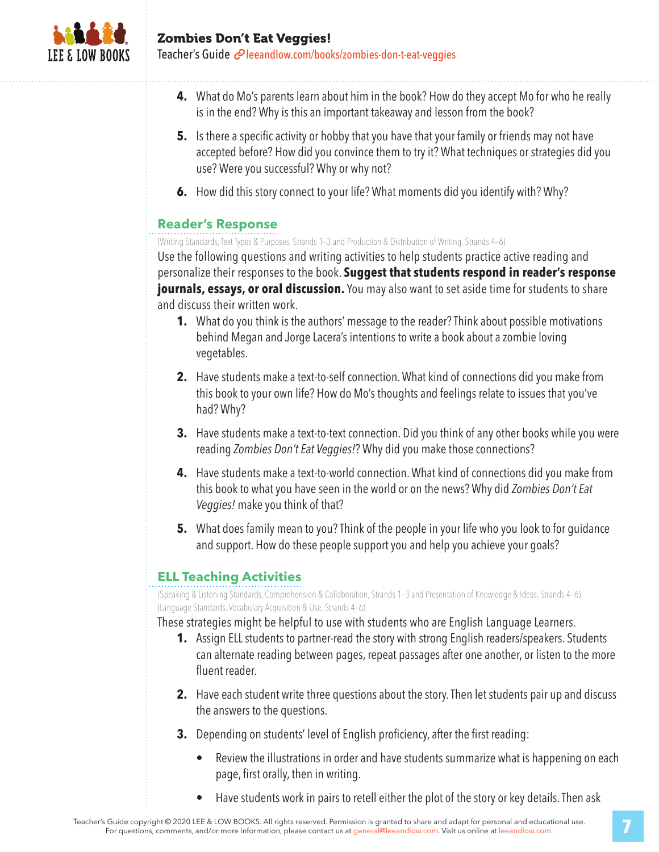

- **4.** What do Mo's parents learn about him in the book? How do they accept Mo for who he really is in the end? Why is this an important takeaway and lesson from the book?
- **5.** Is there a specific activity or hobby that you have that your family or friends may not have accepted before? How did you convince them to try it? What techniques or strategies did you use? Were you successful? Why or why not?
- **6.** How did this story connect to your life? What moments did you identify with? Why?

## **Reader's Response**

(Writing Standards, Text Types & Purposes, Strands 1–3 and Production & Distribution of Writing, Strands 4–6)

Use the following questions and writing activities to help students practice active reading and personalize their responses to the book. **Suggest that students respond in reader's response journals, essays, or oral discussion.** You may also want to set aside time for students to share and discuss their written work.

- **1.** What do you think is the authors' message to the reader? Think about possible motivations behind Megan and Jorge Lacera's intentions to write a book about a zombie loving vegetables.
- **2.** Have students make a text-to-self connection. What kind of connections did you make from this book to your own life? How do Mo's thoughts and feelings relate to issues that you've had? Why?
- **3.** Have students make a text-to-text connection. Did you think of any other books while you were reading *Zombies Don't Eat Veggies!*? Why did you make those connections?
- **4.** Have students make a text-to-world connection. What kind of connections did you make from this book to what you have seen in the world or on the news? Why did *Zombies Don't Eat Veggies!* make you think of that?
- **5.** What does family mean to you? Think of the people in your life who you look to for guidance and support. How do these people support you and help you achieve your goals?

## **ELL Teaching Activities**

(Speaking & Listening Standards, Comprehension & Collaboration, Strands 1–3 and Presentation of Knowledge & Ideas, Strands 4–6) (Language Standards, Vocabulary Acquisition & Use, Strands 4–6)

These strategies might be helpful to use with students who are English Language Learners.

- **1.** Assign ELL students to partner-read the story with strong English readers/speakers. Students can alternate reading between pages, repeat passages after one another, or listen to the more fluent reader.
- **2.** Have each student write three questions about the story. Then let students pair up and discuss the answers to the questions.
- **3.** Depending on students' level of English proficiency, after the first reading:
	- Review the illustrations in order and have students summarize what is happening on each page, first orally, then in writing.
	- Have students work in pairs to retell either the plot of the story or key details. Then ask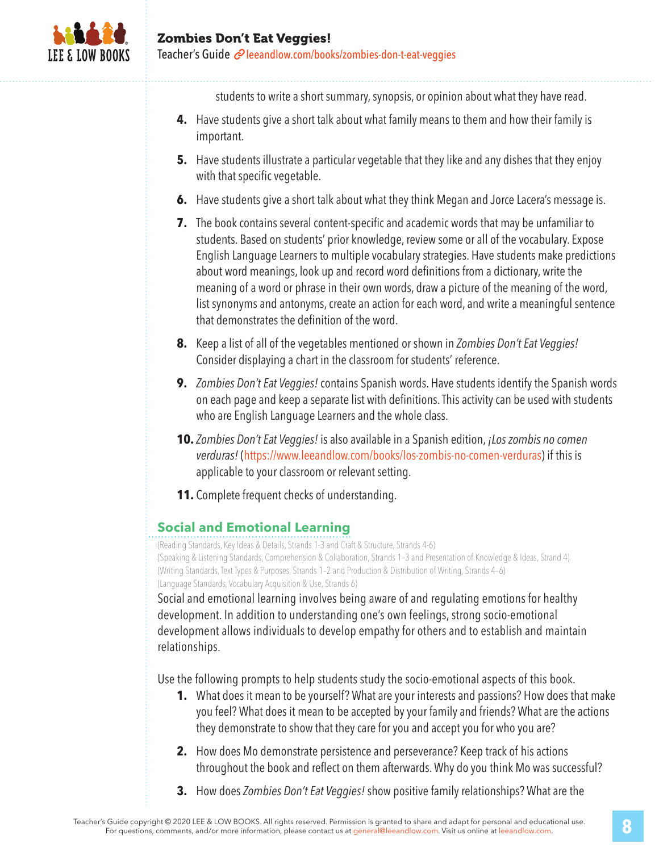

students to write a short summary, synopsis, or opinion about what they have read.

- **4.** Have students give a short talk about what family means to them and how their family is important.
- **5.** Have students illustrate a particular vegetable that they like and any dishes that they enjoy with that specific vegetable.
- **6.** Have students give a short talk about what they think Megan and Jorce Lacera's message is.
- **7.** The book contains several content-specific and academic words that may be unfamiliar to students. Based on students' prior knowledge, review some or all of the vocabulary. Expose English Language Learners to multiple vocabulary strategies. Have students make predictions about word meanings, look up and record word definitions from a dictionary, write the meaning of a word or phrase in their own words, draw a picture of the meaning of the word, list synonyms and antonyms, create an action for each word, and write a meaningful sentence that demonstrates the definition of the word.
- **8.** Keep a list of all of the vegetables mentioned or shown in *Zombies Don't Eat Veggies!* Consider displaying a chart in the classroom for students' reference.
- **9.** *Zombies Don't Eat Veggies!* contains Spanish words. Have students identify the Spanish words on each page and keep a separate list with definitions. This activity can be used with students who are English Language Learners and the whole class.
- **10.***Zombies Don't Eat Veggies!* is also available in a Spanish edition, *¡Los zombis no comen verduras!* (https://www.leeandlow.com/books/los-zombis-no-comen-verduras) if this is applicable to your classroom or relevant setting.
- **11.** Complete frequent checks of understanding.

## **Social and Emotional Learning**

(Reading Standards, Key Ideas & Details, Strands 1-3 and Craft & Structure, Strands 4-6) (Speaking & Listening Standards, Comprehension & Collaboration, Strands 1–3 and Presentation of Knowledge & Ideas, Strand 4) (Writing Standards, Text Types & Purposes, Strands 1–2 and Production & Distribution of Writing, Strands 4–6) (Language Standards, Vocabulary Acquisition & Use, Strands 6)

Social and emotional learning involves being aware of and regulating emotions for healthy development. In addition to understanding one's own feelings, strong socio-emotional development allows individuals to develop empathy for others and to establish and maintain relationships.

Use the following prompts to help students study the socio-emotional aspects of this book.

- **1.** What does it mean to be yourself? What are your interests and passions? How does that make you feel? What does it mean to be accepted by your family and friends? What are the actions they demonstrate to show that they care for you and accept you for who you are?
- **2.** How does Mo demonstrate persistence and perseverance? Keep track of his actions throughout the book and reflect on them afterwards. Why do you think Mo was successful?
- **3.** How does *Zombies Don't Eat Veggies!* show positive family relationships? What are the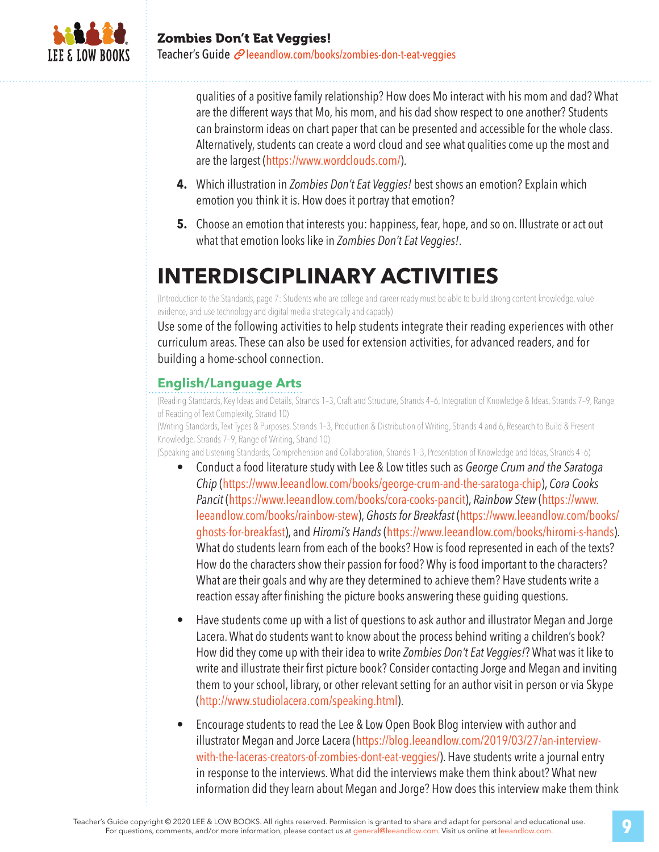

qualities of a positive family relationship? How does Mo interact with his mom and dad? What are the different ways that Mo, his mom, and his dad show respect to one another? Students can brainstorm ideas on chart paper that can be presented and accessible for the whole class. Alternatively, students can create a word cloud and see what qualities come up the most and are the largest (https://www.wordclouds.com/).

- **4.** Which illustration in *Zombies Don't Eat Veggies!* best shows an emotion? Explain which emotion you think it is. How does it portray that emotion?
- **5.** Choose an emotion that interests you: happiness, fear, hope, and so on. Illustrate or act out what that emotion looks like in *Zombies Don't Eat Veggies!*.

# **INTERDISCIPLINARY ACTIVITIES**

(Introduction to the Standards, page 7: Students who are college and career ready must be able to build strong content knowledge, value evidence, and use technology and digital media strategically and capably)

Use some of the following activities to help students integrate their reading experiences with other curriculum areas. These can also be used for extension activities, for advanced readers, and for building a home-school connection.

## **English/Language Arts**

(Reading Standards, Key Ideas and Details, Strands 1–3, Craft and Structure, Strands 4–6, Integration of Knowledge & Ideas, Strands 7–9, Range of Reading of Text Complexity, Strand 10)

(Writing Standards, Text Types & Purposes, Strands 1–3, Production & Distribution of Writing, Strands 4 and 6, Research to Build & Present Knowledge, Strands 7–9, Range of Writing, Strand 10)

(Speaking and Listening Standards, Comprehension and Collaboration, Strands 1–3, Presentation of Knowledge and Ideas, Strands 4–6)

- Conduct a food literature study with Lee & Low titles such as *George Crum and the Saratoga Chip* (https://www.leeandlow.com/books/george-crum-and-the-saratoga-chip), *Cora Cooks Pancit* (https://www.leeandlow.com/books/cora-cooks-pancit), *Rainbow Stew* (https://www. leeandlow.com/books/rainbow-stew), *Ghosts for Breakfast* (https://www.leeandlow.com/books/ ghosts-for-breakfast), and *Hiromi's Hands* (https://www.leeandlow.com/books/hiromi-s-hands). What do students learn from each of the books? How is food represented in each of the texts? How do the characters show their passion for food? Why is food important to the characters? What are their goals and why are they determined to achieve them? Have students write a reaction essay after finishing the picture books answering these guiding questions.
- Have students come up with a list of questions to ask author and illustrator Megan and Jorge Lacera. What do students want to know about the process behind writing a children's book? How did they come up with their idea to write *Zombies Don't Eat Veggies!*? What was it like to write and illustrate their first picture book? Consider contacting Jorge and Megan and inviting them to your school, library, or other relevant setting for an author visit in person or via Skype (http://www.studiolacera.com/speaking.html).
- Encourage students to read the Lee & Low Open Book Blog interview with author and illustrator Megan and Jorce Lacera (https://blog.leeandlow.com/2019/03/27/an-interviewwith-the-laceras-creators-of-zombies-dont-eat-veggies/). Have students write a journal entry in response to the interviews. What did the interviews make them think about? What new information did they learn about Megan and Jorge? How does this interview make them think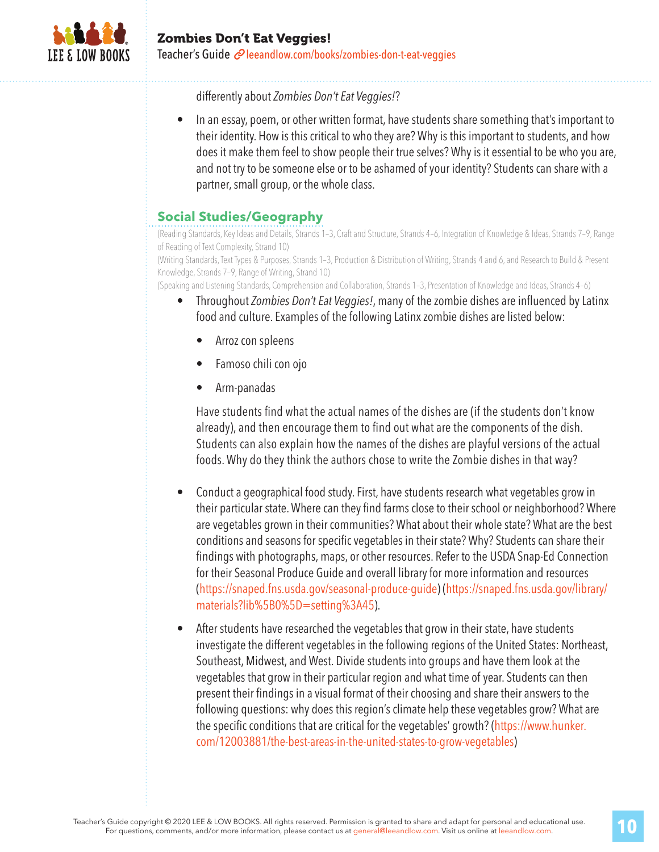

differently about *Zombies Don't Eat Veggies!*?

• In an essay, poem, or other written format, have students share something that's important to their identity. How is this critical to who they are? Why is this important to students, and how does it make them feel to show people their true selves? Why is it essential to be who you are, and not try to be someone else or to be ashamed of your identity? Students can share with a partner, small group, or the whole class.

## **Social Studies/Geography**

(Reading Standards, Key Ideas and Details, Strands 1–3, Craft and Structure, Strands 4–6, Integration of Knowledge & Ideas, Strands 7–9, Range of Reading of Text Complexity, Strand 10)

(Writing Standards, Text Types & Purposes, Strands 1–3, Production & Distribution of Writing, Strands 4 and 6, and Research to Build & Present Knowledge, Strands 7–9, Range of Writing, Strand 10)

(Speaking and Listening Standards, Comprehension and Collaboration, Strands 1–3, Presentation of Knowledge and Ideas, Strands 4–6)

- Throughout *Zombies Don't Eat Veggies!*, many of the zombie dishes are influenced by Latinx food and culture. Examples of the following Latinx zombie dishes are listed below:
	- Arroz con spleens
	- Famoso chili con ojo
	- Arm-panadas

Have students find what the actual names of the dishes are (if the students don't know already), and then encourage them to find out what are the components of the dish. Students can also explain how the names of the dishes are playful versions of the actual foods. Why do they think the authors chose to write the Zombie dishes in that way?

- Conduct a geographical food study. First, have students research what vegetables grow in their particular state. Where can they find farms close to their school or neighborhood? Where are vegetables grown in their communities? What about their whole state? What are the best conditions and seasons for specific vegetables in their state? Why? Students can share their findings with photographs, maps, or other resources. Refer to the USDA Snap-Ed Connection for their Seasonal Produce Guide and overall library for more information and resources (https://snaped.fns.usda.gov/seasonal-produce-guide) (https://snaped.fns.usda.gov/library/ materials?lib%5B0%5D=setting%3A45).
- After students have researched the vegetables that grow in their state, have students investigate the different vegetables in the following regions of the United States: Northeast, Southeast, Midwest, and West. Divide students into groups and have them look at the vegetables that grow in their particular region and what time of year. Students can then present their findings in a visual format of their choosing and share their answers to the following questions: why does this region's climate help these vegetables grow? What are the specific conditions that are critical for the vegetables' growth? (https://www.hunker. com/12003881/the-best-areas-in-the-united-states-to-grow-vegetables)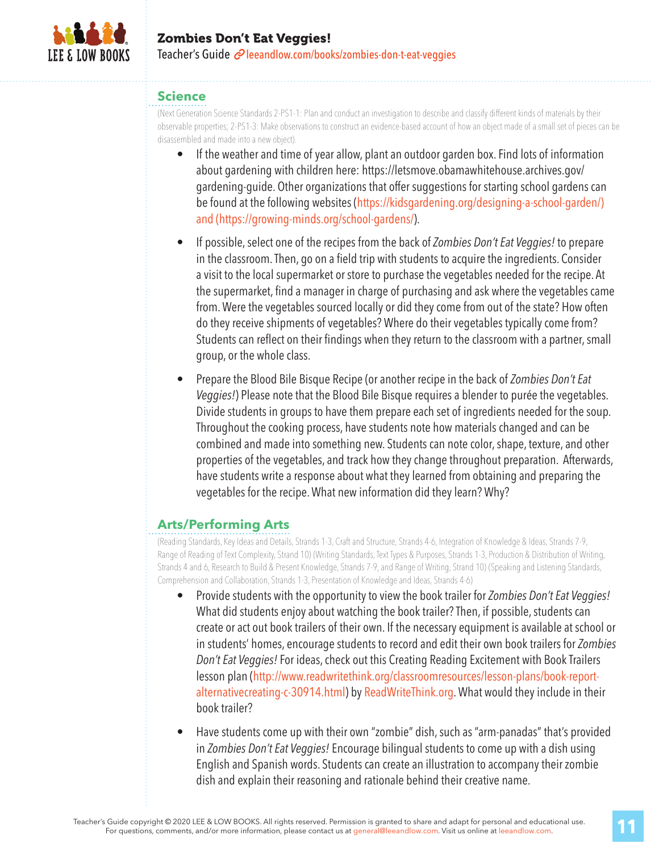

### Zombies Don't Eat Veggies! Teacher's Guide <sup>2</sup> leeandlow.com/books/zombies-don-t-eat-veggies

#### **Science**

(Next Generation Science Standards 2-PS1-1: Plan and conduct an investigation to describe and classify different kinds of materials by their observable properties; 2-PS1-3: Make observations to construct an evidence-based account of how an object made of a small set of pieces can be disassembled and made into a new object).

- If the weather and time of year allow, plant an outdoor garden box. Find lots of information about gardening with children here: https://letsmove.obamawhitehouse.archives.gov/ gardening-guide. Other organizations that offer suggestions for starting school gardens can be found at the following websites (https://kidsgardening.org/designing-a-school-garden/) and (https://growing-minds.org/school-gardens/).
- If possible, select one of the recipes from the back of *Zombies Don't Eat Veggies!* to prepare in the classroom. Then, go on a field trip with students to acquire the ingredients. Consider a visit to the local supermarket or store to purchase the vegetables needed for the recipe. At the supermarket, find a manager in charge of purchasing and ask where the vegetables came from. Were the vegetables sourced locally or did they come from out of the state? How often do they receive shipments of vegetables? Where do their vegetables typically come from? Students can reflect on their findings when they return to the classroom with a partner, small group, or the whole class.
- Prepare the Blood Bile Bisque Recipe (or another recipe in the back of *Zombies Don't Eat Veggies!*) Please note that the Blood Bile Bisque requires a blender to purée the vegetables. Divide students in groups to have them prepare each set of ingredients needed for the soup. Throughout the cooking process, have students note how materials changed and can be combined and made into something new. Students can note color, shape, texture, and other properties of the vegetables, and track how they change throughout preparation. Afterwards, have students write a response about what they learned from obtaining and preparing the vegetables for the recipe. What new information did they learn? Why?

### **Arts/Performing Arts**

(Reading Standards, Key Ideas and Details, Strands 1-3, Craft and Structure, Strands 4-6, Integration of Knowledge & Ideas, Strands 7-9, Range of Reading of Text Complexity, Strand 10) (Writing Standards, Text Types & Purposes, Strands 1-3, Production & Distribution of Writing, Strands 4 and 6, Research to Build & Present Knowledge, Strands 7-9, and Range of Writing, Strand 10) (Speaking and Listening Standards, Comprehension and Collaboration, Strands 1-3, Presentation of Knowledge and Ideas, Strands 4-6)

- Provide students with the opportunity to view the book trailer for *Zombies Don't Eat Veggies!* What did students enjoy about watching the book trailer? Then, if possible, students can create or act out book trailers of their own. If the necessary equipment is available at school or in students' homes, encourage students to record and edit their own book trailers for *Zombies Don't Eat Veggies!* For ideas, check out this Creating Reading Excitement with Book Trailers lesson plan (http://www.readwritethink.org/classroomresources/lesson-plans/book-reportalternativecreating-c-30914.html) by ReadWriteThink.org. What would they include in their book trailer?
- Have students come up with their own "zombie" dish, such as "arm-panadas" that's provided in *Zombies Don't Eat Veggies!* Encourage bilingual students to come up with a dish using English and Spanish words. Students can create an illustration to accompany their zombie dish and explain their reasoning and rationale behind their creative name.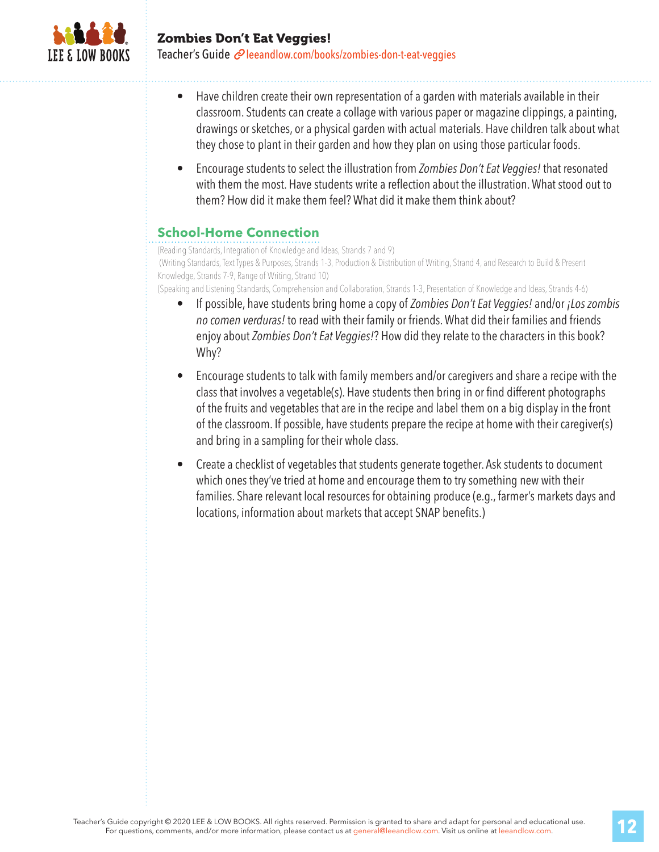

- Have children create their own representation of a garden with materials available in their classroom. Students can create a collage with various paper or magazine clippings, a painting, drawings or sketches, or a physical garden with actual materials. Have children talk about what they chose to plant in their garden and how they plan on using those particular foods.
- Encourage students to select the illustration from *Zombies Don't Eat Veggies!* that resonated with them the most. Have students write a reflection about the illustration. What stood out to them? How did it make them feel? What did it make them think about?

## **School-Home Connection**

(Reading Standards, Integration of Knowledge and Ideas, Strands 7 and 9) (Writing Standards, Text Types & Purposes, Strands 1-3, Production & Distribution of Writing, Strand 4, and Research to Build & Present Knowledge, Strands 7-9, Range of Writing, Strand 10)

(Speaking and Listening Standards, Comprehension and Collaboration, Strands 1-3, Presentation of Knowledge and Ideas, Strands 4-6)

- If possible, have students bring home a copy of *Zombies Don't Eat Veggies!* and/or *¡Los zombis no comen verduras!* to read with their family or friends. What did their families and friends enjoy about *Zombies Don't Eat Veggies!*? How did they relate to the characters in this book? Why?
- Encourage students to talk with family members and/or caregivers and share a recipe with the class that involves a vegetable(s). Have students then bring in or find different photographs of the fruits and vegetables that are in the recipe and label them on a big display in the front of the classroom. If possible, have students prepare the recipe at home with their caregiver(s) and bring in a sampling for their whole class.
- Create a checklist of vegetables that students generate together. Ask students to document which ones they've tried at home and encourage them to try something new with their families. Share relevant local resources for obtaining produce (e.g., farmer's markets days and locations, information about markets that accept SNAP benefits.)